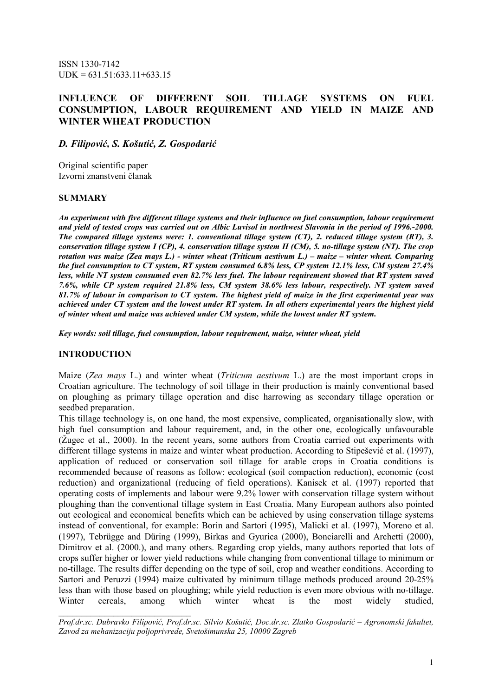ISSN 1330-7142  $UDK = 631.51:633.11+633.15$ 

# INFLUENCE OF DIFFERENT SOIL TILLAGE SYSTEMS ON FUEL CONSUMPTION, LABOUR REQUIREMENT AND YIELD IN MAIZE AND WINTER WHEAT PRODUCTION

D. Filipović, S. Košutić, Z. Gospodarić

Original scientific paper Izvorni znanstveni članak

#### **SUMMARY**

An experiment with five different tillage systems and their influence on fuel consumption, labour requirement and yield of tested crops was carried out on Albic Luvisol in northwest Slavonia in the period of 1996.-2000. The compared tillage systems were: 1. conventional tillage system (CT), 2. reduced tillage system (RT), 3. conservation tillage system I (CP), 4. conservation tillage system II (CM), 5. no-tillage system (NT). The crop rotation was maize (Zea mays L.) - winter wheat (Triticum aestivum L.) – maize – winter wheat. Comparing the fuel consumption to CT system, RT system consumed 6.8% less, CP system 12.1% less, CM system 27.4% less, while NT system consumed even 82.7% less fuel. The labour requirement showed that RT system saved 7.6%, while CP system required 21.8% less, CM system 38.6% less labour, respectively. NT system saved 81.7% of labour in comparison to CT system. The highest yield of maize in the first experimental year was achieved under CT system and the lowest under RT system. In all others experimental years the highest yield of winter wheat and maize was achieved under CM system, while the lowest under RT system.

Key words: soil tillage, fuel consumption, labour requirement, maize, winter wheat, yield

#### INTRODUCTION

 $\frac{1}{2}$  ,  $\frac{1}{2}$  ,  $\frac{1}{2}$  ,  $\frac{1}{2}$  ,  $\frac{1}{2}$  ,  $\frac{1}{2}$  ,  $\frac{1}{2}$  ,  $\frac{1}{2}$  ,  $\frac{1}{2}$  ,  $\frac{1}{2}$  ,  $\frac{1}{2}$  ,  $\frac{1}{2}$  ,  $\frac{1}{2}$  ,  $\frac{1}{2}$  ,  $\frac{1}{2}$  ,  $\frac{1}{2}$  ,  $\frac{1}{2}$  ,  $\frac{1}{2}$  ,  $\frac{1$ 

Maize (Zea mays L.) and winter wheat (*Triticum aestivum L.*) are the most important crops in Croatian agriculture. The technology of soil tillage in their production is mainly conventional based on ploughing as primary tillage operation and disc harrowing as secondary tillage operation or seedbed preparation.

This tillage technology is, on one hand, the most expensive, complicated, organisationally slow, with high fuel consumption and labour requirement, and, in the other one, ecologically unfavourable (Žugec et al., 2000). In the recent years, some authors from Croatia carried out experiments with different tillage systems in maize and winter wheat production. According to Stipešević et al. (1997), application of reduced or conservation soil tillage for arable crops in Croatia conditions is recommended because of reasons as follow: ecological (soil compaction reduction), economic (cost reduction) and organizational (reducing of field operations). Kanisek et al. (1997) reported that operating costs of implements and labour were 9.2% lower with conservation tillage system without ploughing than the conventional tillage system in East Croatia. Many European authors also pointed out ecological and economical benefits which can be achieved by using conservation tillage systems instead of conventional, for example: Borin and Sartori (1995), Malicki et al. (1997), Moreno et al. (1997), Tebrügge and Düring (1999), Birkas and Gyurica (2000), Bonciarelli and Archetti (2000), Dimitrov et al. (2000.), and many others. Regarding crop yields, many authors reported that lots of crops suffer higher or lower yield reductions while changing from conventional tillage to minimum or no-tillage. The results differ depending on the type of soil, crop and weather conditions. According to Sartori and Peruzzi (1994) maize cultivated by minimum tillage methods produced around 20-25% less than with those based on ploughing; while yield reduction is even more obvious with no-tillage. Winter cereals, among which winter wheat is the most widely studied,

Prof.dr.sc. Dubravko Filipović, Prof.dr.sc. Silvio Košutić, Doc.dr.sc. Zlatko Gospodarić – Agronomski fakultet, Zavod za mehanizaciju poljoprivrede, Svetošimunska 25, 10000 Zagreb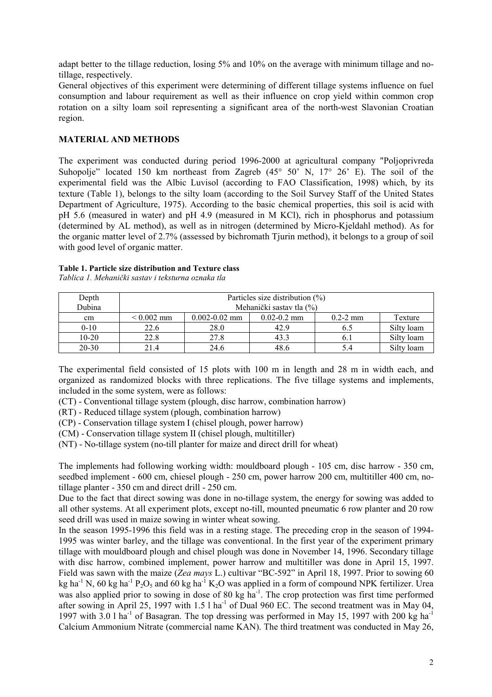adapt better to the tillage reduction, losing 5% and 10% on the average with minimum tillage and notillage, respectively.

General objectives of this experiment were determining of different tillage systems influence on fuel consumption and labour requirement as well as their influence on crop yield within common crop rotation on a silty loam soil representing a significant area of the north-west Slavonian Croatian region.

### MATERIAL AND METHODS

The experiment was conducted during period 1996-2000 at agricultural company "Poljoprivreda Suhopolje" located 150 km northeast from Zagreb (45° 50' N, 17° 26' E). The soil of the experimental field was the Albic Luvisol (according to FAO Classification, 1998) which, by its texture (Table 1), belongs to the silty loam (according to the Soil Survey Staff of the United States Department of Agriculture, 1975). According to the basic chemical properties, this soil is acid with pH 5.6 (measured in water) and pH 4.9 (measured in M KCl), rich in phosphorus and potassium (determined by AL method), as well as in nitrogen (determined by Micro-Kjeldahl method). As for the organic matter level of 2.7% (assessed by bichromath Tjurin method), it belongs to a group of soil with good level of organic matter.

#### Table 1. Particle size distribution and Texture class

| Depth<br>Dubina | Particles size distribution $(\%)$<br>Mehanički sastav tla (%) |                   |                 |                      |            |  |
|-----------------|----------------------------------------------------------------|-------------------|-----------------|----------------------|------------|--|
| cm              | $< 0.002$ mm                                                   | $0.002 - 0.02$ mm | $0.02 - 0.2$ mm | $0.2 - 2 \text{ mm}$ | Texture    |  |
| $0 - 10$        | 22.6                                                           | 28.0              | 42.9            | 6.5                  | Silty loam |  |
| $10 - 20$       | 22.8                                                           | 27.8              | 43.3            | 0.1                  | Silty loam |  |
| 20-30           | 21.4                                                           | 24.6              | 48.6            |                      | Silty loam |  |

Tablica 1. Mehanički sastav i teksturna oznaka tla

The experimental field consisted of 15 plots with 100 m in length and 28 m in width each, and organized as randomized blocks with three replications. The five tillage systems and implements, included in the some system, were as follows:

(CT) - Conventional tillage system (plough, disc harrow, combination harrow)

(RT) - Reduced tillage system (plough, combination harrow)

(CP) - Conservation tillage system I (chisel plough, power harrow)

(CM) - Conservation tillage system II (chisel plough, multitiller)

(NT) - No-tillage system (no-till planter for maize and direct drill for wheat)

The implements had following working width: mouldboard plough - 105 cm, disc harrow - 350 cm, seedbed implement - 600 cm, chiesel plough - 250 cm, power harrow 200 cm, multitiller 400 cm, notillage planter - 350 cm and direct drill - 250 cm.

Due to the fact that direct sowing was done in no-tillage system, the energy for sowing was added to all other systems. At all experiment plots, except no-till, mounted pneumatic 6 row planter and 20 row seed drill was used in maize sowing in winter wheat sowing.

In the season 1995-1996 this field was in a resting stage. The preceding crop in the season of 1994- 1995 was winter barley, and the tillage was conventional. In the first year of the experiment primary tillage with mouldboard plough and chisel plough was done in November 14, 1996. Secondary tillage with disc harrow, combined implement, power harrow and multitiller was done in April 15, 1997. Field was sawn with the maize (Zea mays L.) cultivar "BC-592" in April 18, 1997. Prior to sowing 60 kg ha<sup>-1</sup> N, 60 kg ha<sup>-1</sup> P<sub>2</sub>O<sub>5</sub> and 60 kg ha<sup>-1</sup> K<sub>2</sub>O was applied in a form of compound NPK fertilizer. Urea was also applied prior to sowing in dose of 80 kg ha<sup>-1</sup>. The crop protection was first time performed after sowing in April 25, 1997 with 1.5 l ha<sup>-1</sup> of Dual 960 EC. The second treatment was in May 04, 1997 with 3.0 l ha<sup>-1</sup> of Basagran. The top dressing was performed in May 15, 1997 with 200 kg ha<sup>-1</sup> Calcium Ammonium Nitrate (commercial name KAN). The third treatment was conducted in May 26,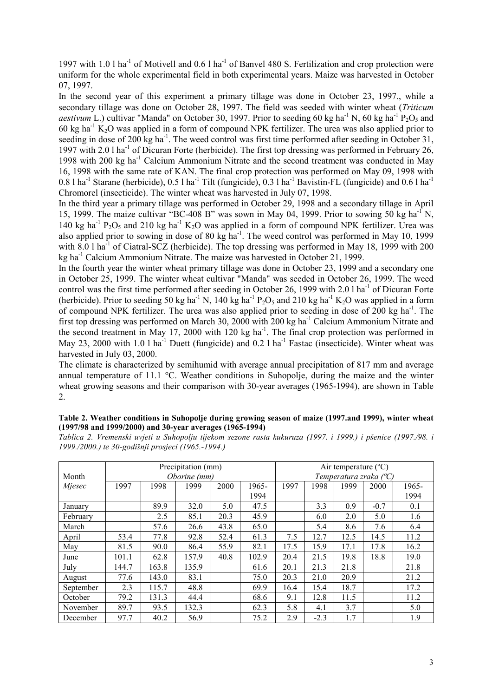1997 with 1.0 l ha<sup>-1</sup> of Motivell and  $0.6$  l ha<sup>-1</sup> of Banvel 480 S. Fertilization and crop protection were uniform for the whole experimental field in both experimental years. Maize was harvested in October 07, 1997.

In the second year of this experiment a primary tillage was done in October 23, 1997., while a secondary tillage was done on October 28, 1997. The field was seeded with winter wheat (*Triticum* aestivum L.) cultivar "Manda" on October 30, 1997. Prior to seeding 60 kg ha<sup>-1</sup> N, 60 kg ha<sup>-1</sup> P<sub>2</sub>O<sub>5</sub> and 60 kg ha<sup>-1</sup> K<sub>2</sub>O was applied in a form of compound NPK fertilizer. The urea was also applied prior to seeding in dose of 200 kg ha<sup>-1</sup>. The weed control was first time performed after seeding in October 31, 1997 with 2.0 l ha<sup>-1</sup> of Dicuran Forte (herbicide). The first top dressing was performed in February 26, 1998 with 200 kg ha<sup>-1</sup> Calcium Ammonium Nitrate and the second treatment was conducted in May 16, 1998 with the same rate of KAN. The final crop protection was performed on May 09, 1998 with  $0.8$  l ha<sup>-1</sup> Starane (herbicide),  $0.5$  l ha<sup>-1</sup> Tilt (fungicide),  $0.3$  l ha<sup>-1</sup> Bavistin-FL (fungicide) and  $0.6$  l ha<sup>-1</sup> Chromorel (insecticide). The winter wheat was harvested in July 07, 1998.

In the third year a primary tillage was performed in October 29, 1998 and a secondary tillage in April 15, 1999. The maize cultivar "BC-408 B" was sown in May 04, 1999. Prior to sowing 50 kg ha<sup>-1</sup> N, 140 kg ha<sup>-1</sup> P<sub>2</sub>O<sub>5</sub> and 210 kg ha<sup>-1</sup> K<sub>2</sub>O was applied in a form of compound NPK fertilizer. Urea was also applied prior to sowing in dose of 80 kg ha<sup>-1</sup>. The weed control was performed in May 10, 1999 with 8.0 l ha<sup>-1</sup> of Ciatral-SCZ (herbicide). The top dressing was performed in May 18, 1999 with 200 kg ha-1 Calcium Ammonium Nitrate. The maize was harvested in October 21, 1999.

In the fourth year the winter wheat primary tillage was done in October 23, 1999 and a secondary one in October 25, 1999. The winter wheat cultivar "Manda" was seeded in October 26, 1999. The weed control was the first time performed after seeding in October 26, 1999 with 2.0 l ha<sup>-1</sup> of Dicuran Forte (herbicide). Prior to seeding 50 kg ha<sup>-1</sup> N, 140 kg ha<sup>-1</sup> P<sub>2</sub>O<sub>5</sub> and 210 kg ha<sup>-1</sup> K<sub>2</sub>O was applied in a form of compound NPK fertilizer. The urea was also applied prior to seeding in dose of 200 kg ha<sup>-1</sup>. The first top dressing was performed on March 30, 2000 with 200 kg ha<sup>-1</sup> Calcium Ammonium Nitrate and the second treatment in May 17, 2000 with 120 kg ha<sup>-1</sup>. The final crop protection was performed in May 23, 2000 with 1.0 l ha<sup>-1</sup> Duett (fungicide) and 0.2 l ha<sup>-1</sup> Fastac (insecticide). Winter wheat was harvested in July 03, 2000.

The climate is characterized by semihumid with average annual precipitation of 817 mm and average annual temperature of 11.1 °C. Weather conditions in Suhopolje, during the maize and the winter wheat growing seasons and their comparison with 30-year averages (1965-1994), are shown in Table 2.

|  |  |                                                          |  | Table 2. Weather conditions in Suhopolje during growing season of maize (1997.and 1999), winter wheat |
|--|--|----------------------------------------------------------|--|-------------------------------------------------------------------------------------------------------|
|  |  | (1997/98 and 1999/2000) and 30-year averages (1965-1994) |  |                                                                                                       |

Tablica 2. Vremenski uvjeti u Suhopolju tijekom sezone rasta kukuruza (1997. i 1999.) i pšenice (1997./98. i 1999./2000.) te 30-godišnji prosjeci (1965.-1994.)

|           |              | Precipitation (mm) |       |      |                                 | Air temperature $(^{\circ}C)$ |        |      |        |       |
|-----------|--------------|--------------------|-------|------|---------------------------------|-------------------------------|--------|------|--------|-------|
| Month     | Oborine (mm) |                    |       |      | Temperatura zraka $(^{\circ}C)$ |                               |        |      |        |       |
| Mjesec    | 1997         | 1998               | 1999  | 2000 | 1965-                           | 1997                          | 1998   | 1999 | 2000   | 1965- |
|           |              |                    |       |      | 1994                            |                               |        |      |        | 1994  |
| January   |              | 89.9               | 32.0  | 5.0  | 47.5                            |                               | 3.3    | 0.9  | $-0.7$ | 0.1   |
| February  |              | 2.5                | 85.1  | 20.3 | 45.9                            |                               | 6.0    | 2.0  | 5.0    | 1.6   |
| March     |              | 57.6               | 26.6  | 43.8 | 65.0                            |                               | 5.4    | 8.6  | 7.6    | 6.4   |
| April     | 53.4         | 77.8               | 92.8  | 52.4 | 61.3                            | 7.5                           | 12.7   | 12.5 | 14.5   | 11.2  |
| May       | 81.5         | 90.0               | 86.4  | 55.9 | 82.1                            | 17.5                          | 15.9   | 17.1 | 17.8   | 16.2  |
| June      | 101.1        | 62.8               | 157.9 | 40.8 | 102.9                           | 20.4                          | 21.5   | 19.8 | 18.8   | 19.0  |
| July      | 144.7        | 163.8              | 135.9 |      | 61.6                            | 20.1                          | 21.3   | 21.8 |        | 21.8  |
| August    | 77.6         | 143.0              | 83.1  |      | 75.0                            | 20.3                          | 21.0   | 20.9 |        | 21.2  |
| September | 2.3          | 115.7              | 48.8  |      | 69.9                            | 16.4                          | 15.4   | 18.7 |        | 17.2  |
| October   | 79.2         | 131.3              | 44.4  |      | 68.6                            | 9.1                           | 12.8   | 11.5 |        | 11.2  |
| November  | 89.7         | 93.5               | 132.3 |      | 62.3                            | 5.8                           | 4.1    | 3.7  |        | 5.0   |
| December  | 97.7         | 40.2               | 56.9  |      | 75.2                            | 2.9                           | $-2.3$ | 1.7  |        | 1.9   |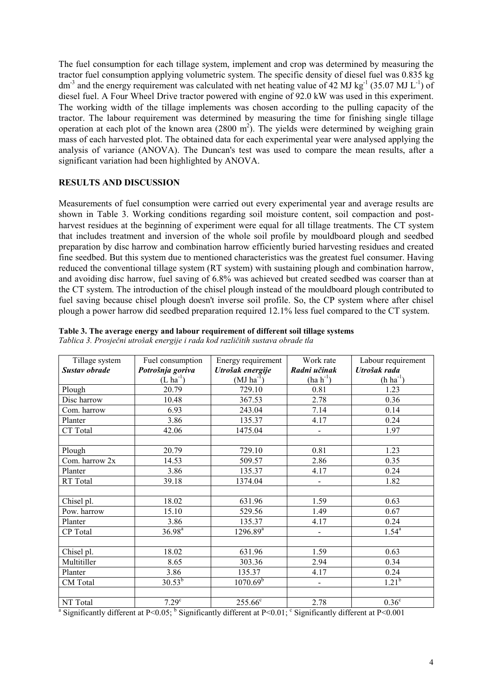The fuel consumption for each tillage system, implement and crop was determined by measuring the tractor fuel consumption applying volumetric system. The specific density of diesel fuel was 0.835 kg  $dm<sup>3</sup>$  and the energy requirement was calculated with net heating value of 42 MJ kg<sup>-1</sup> (35.07 MJ L<sup>-1</sup>) of diesel fuel. A Four Wheel Drive tractor powered with engine of 92.0 kW was used in this experiment. The working width of the tillage implements was chosen according to the pulling capacity of the tractor. The labour requirement was determined by measuring the time for finishing single tillage operation at each plot of the known area  $(2800 \text{ m}^2)$ . The yields were determined by weighing grain mass of each harvested plot. The obtained data for each experimental year were analysed applying the analysis of variance (ANOVA). The Duncan's test was used to compare the mean results, after a significant variation had been highlighted by ANOVA.

### RESULTS AND DISCUSSION

Measurements of fuel consumption were carried out every experimental year and average results are shown in Table 3. Working conditions regarding soil moisture content, soil compaction and postharvest residues at the beginning of experiment were equal for all tillage treatments. The CT system that includes treatment and inversion of the whole soil profile by mouldboard plough and seedbed preparation by disc harrow and combination harrow efficiently buried harvesting residues and created fine seedbed. But this system due to mentioned characteristics was the greatest fuel consumer. Having reduced the conventional tillage system (RT system) with sustaining plough and combination harrow, and avoiding disc harrow, fuel saving of 6.8% was achieved but created seedbed was coarser than at the CT system. The introduction of the chisel plough instead of the mouldboard plough contributed to fuel saving because chisel plough doesn't inverse soil profile. So, the CP system where after chisel plough a power harrow did seedbed preparation required 12.1% less fuel compared to the CT system.

| Tillage system | Fuel consumption  | Energy requirement | Work rate                | Labour requirement |
|----------------|-------------------|--------------------|--------------------------|--------------------|
| Sustav obrade  | Potrošnja goriva  | Utrošak energije   | Radni učinak             | Utrošak rada       |
|                | $(L ha^{-1})$     | $(MJ ha-1)$        | $(ha h-1)$               | $(h ha^{-1})$      |
| Plough         | 20.79             | 729.10             | 0.81                     | 1.23               |
| Disc harrow    | 10.48             | 367.53             | 2.78                     | 0.36               |
| Com. harrow    | 6.93              | 243.04             | 7.14                     | 0.14               |
| Planter        | 3.86              | 135.37             | 4.17                     | 0.24               |
| CT Total       | 42.06             | 1475.04            | $\overline{a}$           | 1.97               |
|                |                   |                    |                          |                    |
| Plough         | 20.79             | 729.10             | 0.81                     | 1.23               |
| Com. harrow 2x | 14.53             | 509.57             | 2.86                     | 0.35               |
| Planter        | 3.86              | 135.37             | 4.17                     | 0.24               |
| RT Total       | 39.18             | 1374.04            | $\blacksquare$           | 1.82               |
|                |                   |                    |                          |                    |
| Chisel pl.     | 18.02             | 631.96             | 1.59                     | 0.63               |
| Pow. harrow    | 15.10             | 529.56             | 1.49                     | 0.67               |
| Planter        | 3.86              | 135.37             | 4.17                     | 0.24               |
| CP Total       | $36.98^{a}$       | $1296.89^a$        | $\overline{\phantom{0}}$ | $1.54^{\rm a}$     |
|                |                   |                    |                          |                    |
| Chisel pl.     | 18.02             | 631.96             | 1.59                     | 0.63               |
| Multitiller    | 8.65              | 303.36             | 2.94                     | 0.34               |
| Planter        | 3.86              | 135.37             | 4.17                     | 0.24               |
| CM Total       | $30.53^{b}$       | $1070.69^{b}$      | $\blacksquare$           | $1.21^{b}$         |
|                |                   |                    |                          |                    |
| NT Total       | 7.29 <sup>c</sup> | $255.66^c$         | 2.78                     | 0.36 <sup>c</sup>  |

|  |  | Table 3. The average energy and labour requirement of different soil tillage systems |
|--|--|--------------------------------------------------------------------------------------|
|--|--|--------------------------------------------------------------------------------------|

Tablica 3. Prosječni utrošak energije i rada kod različitih sustava obrade tla

<sup>a</sup> Significantly different at P<0.05; <sup>b</sup> Significantly different at P<0.01; <sup>c</sup> Significantly different at P<0.001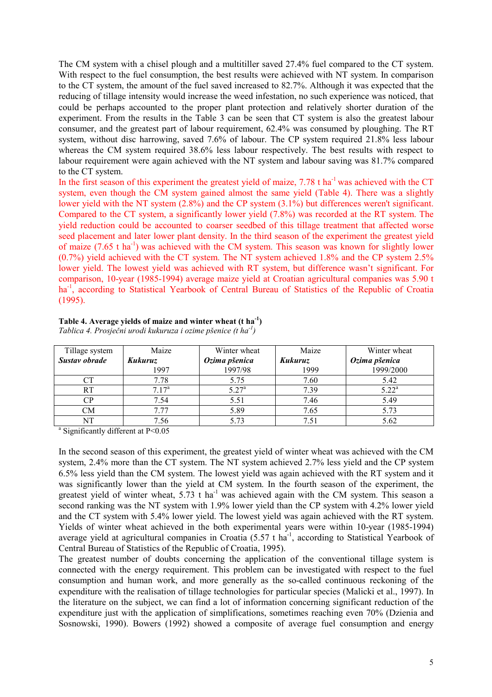The CM system with a chisel plough and a multitiller saved 27.4% fuel compared to the CT system. With respect to the fuel consumption, the best results were achieved with NT system. In comparison to the CT system, the amount of the fuel saved increased to 82.7%. Although it was expected that the reducing of tillage intensity would increase the weed infestation, no such experience was noticed, that could be perhaps accounted to the proper plant protection and relatively shorter duration of the experiment. From the results in the Table 3 can be seen that CT system is also the greatest labour consumer, and the greatest part of labour requirement, 62.4% was consumed by ploughing. The RT system, without disc harrowing, saved 7.6% of labour. The CP system required 21.8% less labour whereas the CM system required 38.6% less labour respectively. The best results with respect to labour requirement were again achieved with the NT system and labour saving was 81.7% compared to the CT system.

In the first season of this experiment the greatest yield of maize,  $7.78$  t ha<sup>-1</sup> was achieved with the CT system, even though the CM system gained almost the same yield (Table 4). There was a slightly lower yield with the NT system (2.8%) and the CP system (3.1%) but differences weren't significant. Compared to the CT system, a significantly lower yield (7.8%) was recorded at the RT system. The yield reduction could be accounted to coarser seedbed of this tillage treatment that affected worse seed placement and later lower plant density. In the third season of the experiment the greatest yield of maize (7.65 t ha-1) was achieved with the CM system. This season was known for slightly lower (0.7%) yield achieved with the CT system. The NT system achieved 1.8% and the CP system 2.5% lower yield. The lowest yield was achieved with RT system, but difference wasn't significant. For comparison, 10-year (1985-1994) average maize yield at Croatian agricultural companies was 5.90 t ha<sup>-1</sup>, according to Statistical Yearbook of Central Bureau of Statistics of the Republic of Croatia (1995).

| Tillage system | Maize          | Winter wheat   | Maize   | Winter wheat  |
|----------------|----------------|----------------|---------|---------------|
| Sustav obrade  | Kukuruz        | Ozima pšenica  | Kukuruz | Ozima pšenica |
|                | 1997           | 1997/98        | 1999    | 1999/2000     |
| CT             | 7.78           | 5.75           | 7.60    | 5.42          |
| <b>RT</b>      | $7.17^{\rm a}$ | $5.27^{\rm a}$ | 7.39    | $5.22^a$      |
| CР             | 7.54           | 5.51           | 7.46    | 5.49          |
| CМ             | 7.77           | 5.89           | 7.65    | 5.73          |
| NT             | 7.56           | 5 73           | 7.51    | 5.62          |

| Table 4. Average yields of maize and winter wheat $(t \text{ ha}^{-1})$ |
|-------------------------------------------------------------------------|
| Tablica 4. Prosječni urodi kukuruza i ozime pšenice (t $ha^{-1}$ )      |

a Significantly different at P<0.05

In the second season of this experiment, the greatest yield of winter wheat was achieved with the CM system, 2.4% more than the CT system. The NT system achieved 2.7% less yield and the CP system 6.5% less yield than the CM system. The lowest yield was again achieved with the RT system and it was significantly lower than the yield at CM system. In the fourth season of the experiment, the greatest yield of winter wheat,  $5.73$  t ha<sup>-1</sup> was achieved again with the CM system. This season a second ranking was the NT system with 1.9% lower yield than the CP system with 4.2% lower yield and the CT system with 5.4% lower yield. The lowest yield was again achieved with the RT system. Yields of winter wheat achieved in the both experimental years were within 10-year (1985-1994) average yield at agricultural companies in Croatia  $(5.57 \text{ t} \text{ ha}^{-1})$ , according to Statistical Yearbook of Central Bureau of Statistics of the Republic of Croatia, 1995).

The greatest number of doubts concerning the application of the conventional tillage system is connected with the energy requirement. This problem can be investigated with respect to the fuel consumption and human work, and more generally as the so-called continuous reckoning of the expenditure with the realisation of tillage technologies for particular species (Malicki et al., 1997). In the literature on the subject, we can find a lot of information concerning significant reduction of the expenditure just with the application of simplifications, sometimes reaching even 70% (Dzienia and Sosnowski, 1990). Bowers (1992) showed a composite of average fuel consumption and energy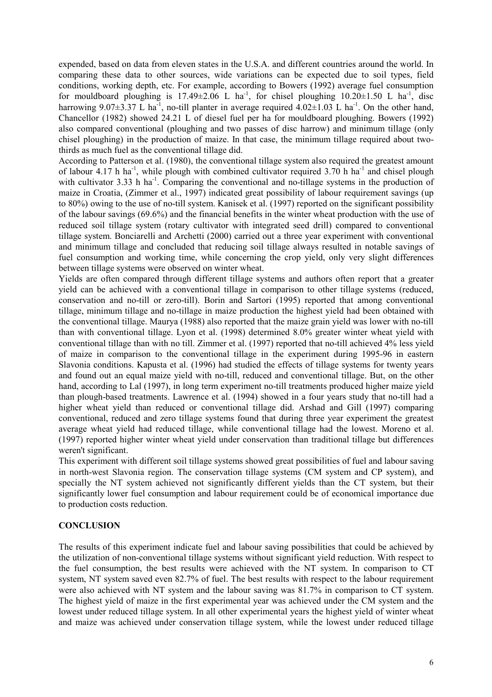expended, based on data from eleven states in the U.S.A. and different countries around the world. In comparing these data to other sources, wide variations can be expected due to soil types, field conditions, working depth, etc. For example, according to Bowers (1992) average fuel consumption for mouldboard ploughing is 17.49 $\pm$ 2.06 L ha<sup>-1</sup>, for chisel ploughing 10.20 $\pm$ 1.50 L ha<sup>-1</sup>, disc harrowing 9.07 $\pm$ 3.37 L ha<sup>-1</sup>, no-till planter in average required 4.02 $\pm$ 1.03 L ha<sup>-1</sup>. On the other hand, Chancellor (1982) showed 24.21 L of diesel fuel per ha for mouldboard ploughing. Bowers (1992) also compared conventional (ploughing and two passes of disc harrow) and minimum tillage (only chisel ploughing) in the production of maize. In that case, the minimum tillage required about twothirds as much fuel as the conventional tillage did.

According to Patterson et al. (1980), the conventional tillage system also required the greatest amount of labour 4.17 h ha<sup>-1</sup>, while plough with combined cultivator required 3.70 h ha<sup>-1</sup> and chisel plough with cultivator 3.33 h ha<sup>-1</sup>. Comparing the conventional and no-tillage systems in the production of maize in Croatia, (Zimmer et al., 1997) indicated great possibility of labour requirement savings (up to 80%) owing to the use of no-till system. Kanisek et al. (1997) reported on the significant possibility of the labour savings (69.6%) and the financial benefits in the winter wheat production with the use of reduced soil tillage system (rotary cultivator with integrated seed drill) compared to conventional tillage system. Bonciarelli and Archetti (2000) carried out a three year experiment with conventional and minimum tillage and concluded that reducing soil tillage always resulted in notable savings of fuel consumption and working time, while concerning the crop yield, only very slight differences between tillage systems were observed on winter wheat.

Yields are often compared through different tillage systems and authors often report that a greater yield can be achieved with a conventional tillage in comparison to other tillage systems (reduced, conservation and no-till or zero-till). Borin and Sartori (1995) reported that among conventional tillage, minimum tillage and no-tillage in maize production the highest yield had been obtained with the conventional tillage. Maurya (1988) also reported that the maize grain yield was lower with no-till than with conventional tillage. Lyon et al. (1998) determined 8.0% greater winter wheat yield with conventional tillage than with no till. Zimmer et al. (1997) reported that no-till achieved 4% less yield of maize in comparison to the conventional tillage in the experiment during 1995-96 in eastern Slavonia conditions. Kapusta et al. (1996) had studied the effects of tillage systems for twenty years and found out an equal maize yield with no-till, reduced and conventional tillage. But, on the other hand, according to Lal (1997), in long term experiment no-till treatments produced higher maize yield than plough-based treatments. Lawrence et al. (1994) showed in a four years study that no-till had a higher wheat yield than reduced or conventional tillage did. Arshad and Gill (1997) comparing conventional, reduced and zero tillage systems found that during three year experiment the greatest average wheat yield had reduced tillage, while conventional tillage had the lowest. Moreno et al. (1997) reported higher winter wheat yield under conservation than traditional tillage but differences weren't significant.

This experiment with different soil tillage systems showed great possibilities of fuel and labour saving in north-west Slavonia region. The conservation tillage systems (CM system and CP system), and specially the NT system achieved not significantly different yields than the CT system, but their significantly lower fuel consumption and labour requirement could be of economical importance due to production costs reduction.

#### **CONCLUSION**

The results of this experiment indicate fuel and labour saving possibilities that could be achieved by the utilization of non-conventional tillage systems without significant yield reduction. With respect to the fuel consumption, the best results were achieved with the NT system. In comparison to CT system, NT system saved even 82.7% of fuel. The best results with respect to the labour requirement were also achieved with NT system and the labour saving was 81.7% in comparison to CT system. The highest yield of maize in the first experimental year was achieved under the CM system and the lowest under reduced tillage system. In all other experimental years the highest yield of winter wheat and maize was achieved under conservation tillage system, while the lowest under reduced tillage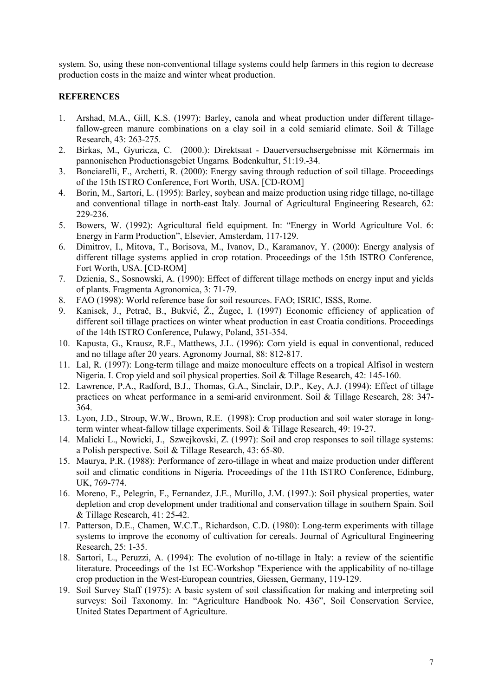system. So, using these non-conventional tillage systems could help farmers in this region to decrease production costs in the maize and winter wheat production.

### **REFERENCES**

- 1. Arshad, M.A., Gill, K.S. (1997): Barley, canola and wheat production under different tillagefallow-green manure combinations on a clay soil in a cold semiarid climate. Soil & Tillage Research, 43: 263-275.
- 2. Birkas, M., Gyuricza, C. (2000.): Direktsaat Dauerversuchsergebnisse mit Körnermais im pannonischen Productionsgebiet Ungarns. Bodenkultur, 51:19.-34.
- 3. Bonciarelli, F., Archetti, R. (2000): Energy saving through reduction of soil tillage. Proceedings of the 15th ISTRO Conference, Fort Worth, USA. [CD-ROM]
- 4. Borin, M., Sartori, L. (1995): Barley, soybean and maize production using ridge tillage, no-tillage and conventional tillage in north-east Italy. Journal of Agricultural Engineering Research, 62: 229-236.
- 5. Bowers, W. (1992): Agricultural field equipment. In: "Energy in World Agriculture Vol. 6: Energy in Farm Production", Elsevier, Amsterdam, 117-129.
- 6. Dimitrov, I., Mitova, T., Borisova, M., Ivanov, D., Karamanov, Y. (2000): Energy analysis of different tillage systems applied in crop rotation. Proceedings of the 15th ISTRO Conference, Fort Worth, USA. [CD-ROM]
- 7. Dzienia, S., Sosnowski, A. (1990): Effect of different tillage methods on energy input and yields of plants. Fragmenta Agronomica, 3: 71-79.
- 8. FAO (1998): World reference base for soil resources. FAO; ISRIC, ISSS, Rome.
- 9. Kanisek, J., Petrač, B., Bukvić, Ž., Žugec, I. (1997) Economic efficiency of application of different soil tillage practices on winter wheat production in east Croatia conditions. Proceedings of the 14th ISTRO Conference, Pulawy, Poland, 351-354.
- 10. Kapusta, G., Krausz, R.F., Matthews, J.L. (1996): Corn yield is equal in conventional, reduced and no tillage after 20 years. Agronomy Journal, 88: 812-817.
- 11. Lal, R. (1997): Long-term tillage and maize monoculture effects on a tropical Alfisol in western Nigeria. I. Crop yield and soil physical properties. Soil & Tillage Research, 42: 145-160.
- 12. Lawrence, P.A., Radford, B.J., Thomas, G.A., Sinclair, D.P., Key, A.J. (1994): Effect of tillage practices on wheat performance in a semi-arid environment. Soil & Tillage Research, 28: 347- 364.
- 13. Lyon, J.D., Stroup, W.W., Brown, R.E. (1998): Crop production and soil water storage in longterm winter wheat-fallow tillage experiments. Soil & Tillage Research, 49: 19-27.
- 14. Malicki L., Nowicki, J., Szwejkovski, Z. (1997): Soil and crop responses to soil tillage systems: a Polish perspective. Soil & Tillage Research, 43: 65-80.
- 15. Maurya, P.R. (1988): Performance of zero-tillage in wheat and maize production under different soil and climatic conditions in Nigeria. Proceedings of the 11th ISTRO Conference, Edinburg, UK, 769-774.
- 16. Moreno, F., Pelegrin, F., Fernandez, J.E., Murillo, J.M. (1997.): Soil physical properties, water depletion and crop development under traditional and conservation tillage in southern Spain. Soil & Tillage Research, 41: 25-42.
- 17. Patterson, D.E., Chamen, W.C.T., Richardson, C.D. (1980): Long-term experiments with tillage systems to improve the economy of cultivation for cereals. Journal of Agricultural Engineering Research, 25: 1-35.
- 18. Sartori, L., Peruzzi, A. (1994): The evolution of no-tillage in Italy: a review of the scientific literature. Proceedings of the 1st EC-Workshop "Experience with the applicability of no-tillage crop production in the West-European countries, Giessen, Germany, 119-129.
- 19. Soil Survey Staff (1975): A basic system of soil classification for making and interpreting soil surveys: Soil Taxonomy. In: "Agriculture Handbook No. 436", Soil Conservation Service, United States Department of Agriculture.